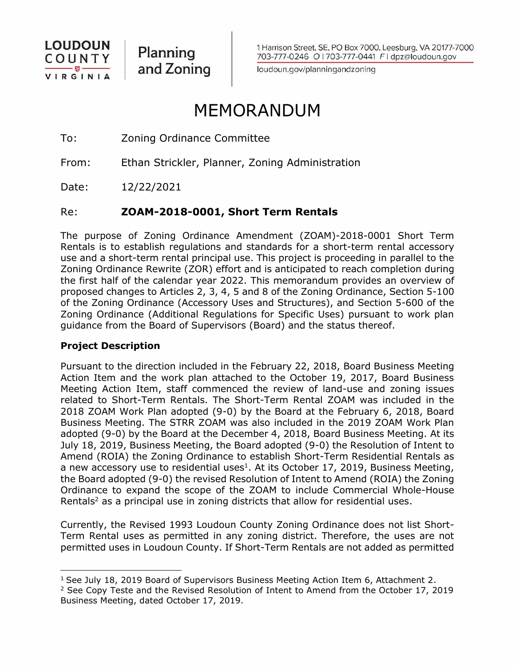

Planning and Zoning 1 Harrison Street, SE, PO Box 7000, Leesburg, VA 20177-7000 703-777-0246 O | 703-777-0441 F | dpz@loudoun.gov

loudoun.gov/planningandzoning

# MEMORANDUM

To: Zoning Ordinance Committee

From: Ethan Strickler, Planner, Zoning Administration

Date: 12/22/2021

# Re: **ZOAM-2018-0001, Short Term Rentals**

The purpose of Zoning Ordinance Amendment (ZOAM)-2018-0001 Short Term Rentals is to establish regulations and standards for a short-term rental accessory use and a short-term rental principal use. This project is proceeding in parallel to the Zoning Ordinance Rewrite (ZOR) effort and is anticipated to reach completion during the first half of the calendar year 2022. This memorandum provides an overview of proposed changes to Articles 2, 3, 4, 5 and 8 of the Zoning Ordinance, Section 5-100 of the Zoning Ordinance (Accessory Uses and Structures), and Section 5-600 of the Zoning Ordinance (Additional Regulations for Specific Uses) pursuant to work plan guidance from the Board of Supervisors (Board) and the status thereof.

### **Project Description**

Pursuant to the direction included in the February 22, 2018, Board Business Meeting Action Item and the work plan attached to the October 19, 2017, Board Business Meeting Action Item, staff commenced the review of land-use and zoning issues related to Short-Term Rentals. The Short-Term Rental ZOAM was included in the 2018 ZOAM Work Plan adopted (9-0) by the Board at the February 6, 2018, Board Business Meeting. The STRR ZOAM was also included in the 2019 ZOAM Work Plan adopted (9-0) by the Board at the December 4, 2018, Board Business Meeting. At its July 18, 2019, Business Meeting, the Board adopted (9-0) the Resolution of Intent to Amend (ROIA) the Zoning Ordinance to establish Short-Term Residential Rentals as a new accessory use to residential uses<sup>1</sup>. At its October 17, 2019, Business Meeting, the Board adopted (9-0) the revised Resolution of Intent to Amend (ROIA) the Zoning Ordinance to expand the scope of the ZOAM to include Commercial Whole-House Rentals<sup>2</sup> as a principal use in zoning districts that allow for residential uses.

Currently, the Revised 1993 Loudoun County Zoning Ordinance does not list Short-Term Rental uses as permitted in any zoning district. Therefore, the uses are not permitted uses in Loudoun County. If Short-Term Rentals are not added as permitted

<sup>&</sup>lt;sup>1</sup> See July 18, 2019 Board of Supervisors Business Meeting Action Item 6, Attachment 2.

<sup>&</sup>lt;sup>2</sup> See Copy Teste and the Revised Resolution of Intent to Amend from the October 17, 2019 Business Meeting, dated October 17, 2019.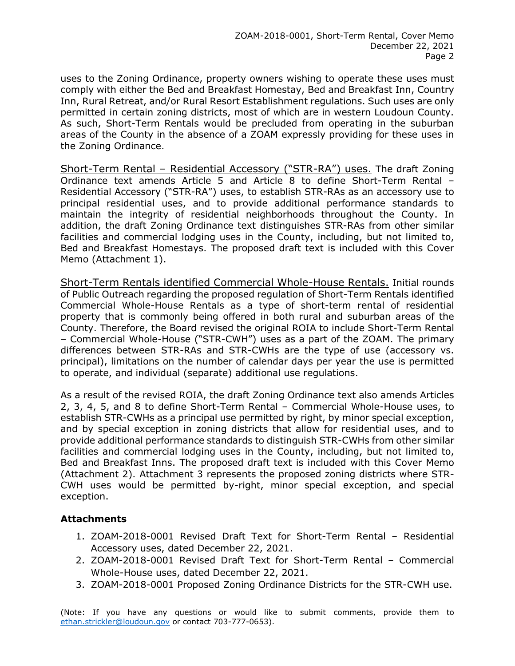uses to the Zoning Ordinance, property owners wishing to operate these uses must comply with either the Bed and Breakfast Homestay, Bed and Breakfast Inn, Country Inn, Rural Retreat, and/or Rural Resort Establishment regulations. Such uses are only permitted in certain zoning districts, most of which are in western Loudoun County. As such, Short-Term Rentals would be precluded from operating in the suburban areas of the County in the absence of a ZOAM expressly providing for these uses in the Zoning Ordinance.

Short-Term Rental – Residential Accessory ("STR-RA") uses. The draft Zoning Ordinance text amends Article 5 and Article 8 to define Short-Term Rental – Residential Accessory ("STR-RA") uses, to establish STR-RAs as an accessory use to principal residential uses, and to provide additional performance standards to maintain the integrity of residential neighborhoods throughout the County. In addition, the draft Zoning Ordinance text distinguishes STR-RAs from other similar facilities and commercial lodging uses in the County, including, but not limited to, Bed and Breakfast Homestays. The proposed draft text is included with this Cover Memo (Attachment 1).

Short-Term Rentals identified Commercial Whole-House Rentals. Initial rounds of Public Outreach regarding the proposed regulation of Short-Term Rentals identified Commercial Whole-House Rentals as a type of short-term rental of residential property that is commonly being offered in both rural and suburban areas of the County. Therefore, the Board revised the original ROIA to include Short-Term Rental – Commercial Whole-House ("STR-CWH") uses as a part of the ZOAM. The primary differences between STR-RAs and STR-CWHs are the type of use (accessory vs. principal), limitations on the number of calendar days per year the use is permitted to operate, and individual (separate) additional use regulations.

As a result of the revised ROIA, the draft Zoning Ordinance text also amends Articles 2, 3, 4, 5, and 8 to define Short-Term Rental – Commercial Whole-House uses, to establish STR-CWHs as a principal use permitted by right, by minor special exception, and by special exception in zoning districts that allow for residential uses, and to provide additional performance standards to distinguish STR-CWHs from other similar facilities and commercial lodging uses in the County, including, but not limited to, Bed and Breakfast Inns. The proposed draft text is included with this Cover Memo (Attachment 2). Attachment 3 represents the proposed zoning districts where STR-CWH uses would be permitted by-right, minor special exception, and special exception.

#### **Attachments**

- 1. ZOAM-2018-0001 Revised Draft Text for Short-Term Rental Residential Accessory uses, dated December 22, 2021.
- 2. ZOAM-2018-0001 Revised Draft Text for Short-Term Rental Commercial Whole-House uses, dated December 22, 2021.
- 3. ZOAM-2018-0001 Proposed Zoning Ordinance Districts for the STR-CWH use.

(Note: If you have any questions or would like to submit comments, provide them to [ethan.strickler@loudoun.gov](mailto:ethan.strickler@loudoun.gov) or contact 703-777-0653).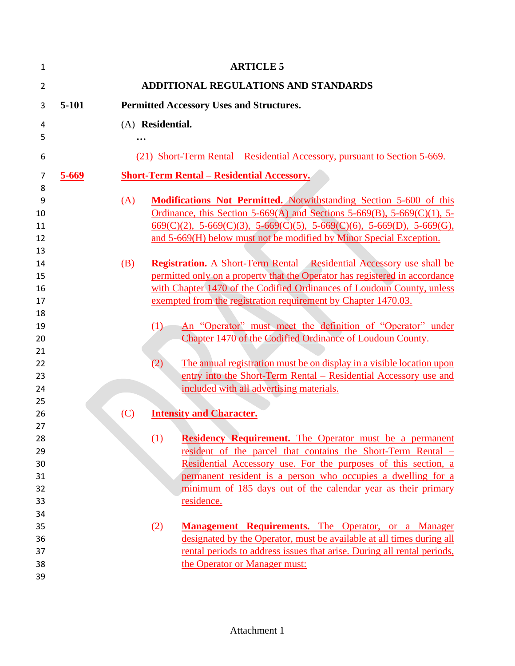| 1              |                                                          |                   | <b>ARTICLE 5</b>                                                                                                                                             |  |  |  |
|----------------|----------------------------------------------------------|-------------------|--------------------------------------------------------------------------------------------------------------------------------------------------------------|--|--|--|
| $\overline{2}$ |                                                          |                   | <b>ADDITIONAL REGULATIONS AND STANDARDS</b>                                                                                                                  |  |  |  |
| 3              | 5-101<br><b>Permitted Accessory Uses and Structures.</b> |                   |                                                                                                                                                              |  |  |  |
| 4              |                                                          | (A) Residential.  |                                                                                                                                                              |  |  |  |
| 5              |                                                          | $\ddotsc$         |                                                                                                                                                              |  |  |  |
| 6              |                                                          |                   | (21) Short-Term Rental – Residential Accessory, pursuant to Section 5-669.                                                                                   |  |  |  |
| 7              | $5 - 669$                                                |                   | <b>Short-Term Rental – Residential Accessory.</b>                                                                                                            |  |  |  |
| 8              |                                                          |                   |                                                                                                                                                              |  |  |  |
| 9<br>10        | (A)                                                      |                   | <b>Modifications Not Permitted.</b> Notwithstanding Section 5-600 of this<br>Ordinance, this Section 5-669(A) and Sections 5-669(B), 5-669(C)(1), 5-         |  |  |  |
| 11             |                                                          |                   | $\underline{669(C)(2)}$ , 5-669(C)(3), 5-669(C)(5), 5-669(C)(6), 5-669(D), 5-669(G),                                                                         |  |  |  |
| 12             |                                                          |                   | and 5-669(H) below must not be modified by Minor Special Exception.                                                                                          |  |  |  |
| 13             |                                                          |                   |                                                                                                                                                              |  |  |  |
| 14<br>15       | (B)                                                      |                   | <b>Registration.</b> A Short-Term Rental – Residential Accessory use shall be<br>permitted only on a property that the Operator has registered in accordance |  |  |  |
| 16             |                                                          |                   | with Chapter 1470 of the Codified Ordinances of Loudoun County, unless                                                                                       |  |  |  |
| 17             |                                                          |                   | exempted from the registration requirement by Chapter 1470.03.                                                                                               |  |  |  |
| 18             |                                                          |                   |                                                                                                                                                              |  |  |  |
| 19             |                                                          | (1)               | An "Operator" must meet the definition of "Operator" under                                                                                                   |  |  |  |
| 20             |                                                          |                   | Chapter 1470 of the Codified Ordinance of Loudoun County.                                                                                                    |  |  |  |
| 21             |                                                          |                   |                                                                                                                                                              |  |  |  |
| 22             |                                                          | $\left( 2\right)$ | The annual registration must be on display in a visible location upon                                                                                        |  |  |  |
| 23             |                                                          |                   | entry into the Short-Term Rental – Residential Accessory use and                                                                                             |  |  |  |
| 24             |                                                          |                   | included with all advertising materials.                                                                                                                     |  |  |  |
| 25             |                                                          |                   | <b>Intensity and Character.</b>                                                                                                                              |  |  |  |
| 26<br>27       | (C)                                                      |                   |                                                                                                                                                              |  |  |  |
| 28             |                                                          | (1)               | <b>Residency Requirement.</b> The Operator must be a permanent                                                                                               |  |  |  |
| 29             |                                                          |                   | resident of the parcel that contains the Short-Term Rental –                                                                                                 |  |  |  |
| 30             |                                                          |                   | Residential Accessory use. For the purposes of this section, a                                                                                               |  |  |  |
| 31             |                                                          |                   | permanent resident is a person who occupies a dwelling for a                                                                                                 |  |  |  |
| 32             |                                                          |                   | minimum of 185 days out of the calendar year as their primary                                                                                                |  |  |  |
| 33             |                                                          |                   | residence.                                                                                                                                                   |  |  |  |
| 34             |                                                          |                   |                                                                                                                                                              |  |  |  |
| 35             |                                                          | (2)               | <b>Management Requirements.</b> The Operator, or a Manager                                                                                                   |  |  |  |
| 36             |                                                          |                   | designated by the Operator, must be available at all times during all                                                                                        |  |  |  |
| 37<br>38       |                                                          |                   | rental periods to address issues that arise. During all rental periods,                                                                                      |  |  |  |
| 39             |                                                          |                   | the Operator or Manager must:                                                                                                                                |  |  |  |
|                |                                                          |                   |                                                                                                                                                              |  |  |  |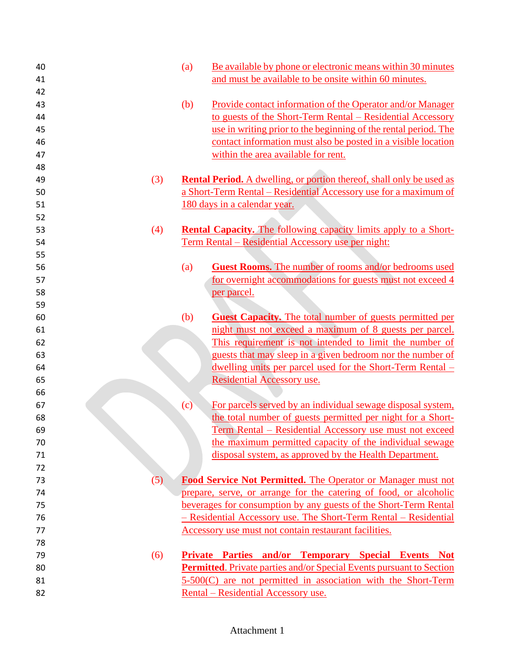| 40 |     | Be available by phone or electronic means within 30 minutes<br>(a)          |
|----|-----|-----------------------------------------------------------------------------|
| 41 |     | and must be available to be onsite within 60 minutes.                       |
| 42 |     |                                                                             |
| 43 |     | (b)<br>Provide contact information of the Operator and/or Manager           |
| 44 |     | to guests of the Short-Term Rental – Residential Accessory                  |
| 45 |     | use in writing prior to the beginning of the rental period. The             |
| 46 |     | contact information must also be posted in a visible location               |
| 47 |     | within the area available for rent.                                         |
| 48 |     |                                                                             |
| 49 | (3) | <b>Rental Period.</b> A dwelling, or portion thereof, shall only be used as |
| 50 |     | a Short-Term Rental - Residential Accessory use for a maximum of            |
| 51 |     | 180 days in a calendar year.                                                |
| 52 |     |                                                                             |
| 53 | (4) | <b>Rental Capacity.</b> The following capacity limits apply to a Short-     |
| 54 |     | <u>Term Rental – Residential Accessory use per night:</u>                   |
| 55 |     |                                                                             |
| 56 |     | (a)<br><b>Guest Rooms.</b> The number of rooms and/or bedrooms used         |
| 57 |     | for overnight accommodations for guests must not exceed 4                   |
| 58 |     | <u>per parcel.</u>                                                          |
| 59 |     |                                                                             |
| 60 |     | (b)<br><b>Guest Capacity.</b> The total number of guests permitted per      |
| 61 |     | night must not exceed a maximum of 8 guests per parcel.                     |
| 62 |     | This requirement is not intended to limit the number of                     |
| 63 |     | guests that may sleep in a given bedroom nor the number of                  |
| 64 |     | <u>dwelling units per parcel used for the Short-Term Rental –</u>           |
| 65 |     | Residential Accessory use.                                                  |
| 66 |     |                                                                             |
| 67 |     | For parcels served by an individual sewage disposal system,<br>(c)          |
| 68 |     | the total number of guests permitted per night for a Short-                 |
| 69 |     | <u>Term Rental – Residential Accessory use must not exceed</u>              |
| 70 |     | the maximum permitted capacity of the individual sewage                     |
| 71 |     | disposal system, as approved by the Health Department.                      |
| 72 |     |                                                                             |
| 73 | (5) | <b>Food Service Not Permitted.</b> The Operator or Manager must not         |
| 74 |     | prepare, serve, or arrange for the catering of food, or alcoholic           |
| 75 |     | beverages for consumption by any guests of the Short-Term Rental            |
| 76 |     | - Residential Accessory use. The Short-Term Rental - Residential            |
| 77 |     | Accessory use must not contain restaurant facilities.                       |
| 78 |     |                                                                             |
| 79 | (6) | <b>Private Parties and/or Temporary Special Events Not</b>                  |
| 80 |     | <b>Permitted.</b> Private parties and/or Special Events pursuant to Section |
| 81 |     | 5-500(C) are not permitted in association with the Short-Term               |
| 82 |     | <u> Rental – Residential Accessory use.</u>                                 |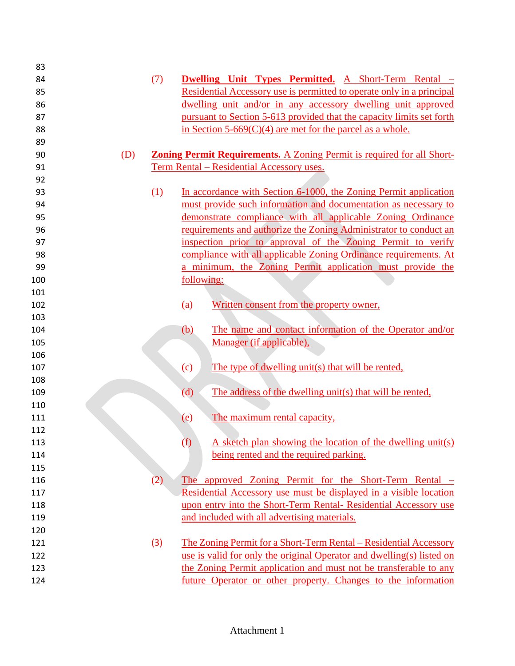| 83  |     |                                                                               |
|-----|-----|-------------------------------------------------------------------------------|
| 84  | (7) | Dwelling Unit Types Permitted. A Short-Term Rental -                          |
| 85  |     | Residential Accessory use is permitted to operate only in a principal         |
| 86  |     | dwelling unit and/or in any accessory dwelling unit approved                  |
| 87  |     | pursuant to Section 5-613 provided that the capacity limits set forth         |
| 88  |     | in Section 5-669 $(C)(4)$ are met for the parcel as a whole.                  |
| 89  |     |                                                                               |
| 90  | (D) | <b>Zoning Permit Requirements.</b> A Zoning Permit is required for all Short- |
| 91  |     | Term Rental - Residential Accessory uses.                                     |
| 92  |     |                                                                               |
| 93  | (1) | In accordance with Section 6-1000, the Zoning Permit application              |
| 94  |     | must provide such information and documentation as necessary to               |
| 95  |     | demonstrate compliance with all applicable Zoning Ordinance                   |
| 96  |     | requirements and authorize the Zoning Administrator to conduct an             |
| 97  |     | inspection prior to approval of the Zoning Permit to verify                   |
| 98  |     | compliance with all applicable Zoning Ordinance requirements. At              |
| 99  |     | a minimum, the Zoning Permit application must provide the                     |
| 100 |     | following:                                                                    |
| 101 |     |                                                                               |
| 102 |     | Written consent from the property owner,<br>(a)                               |
| 103 |     |                                                                               |
| 104 |     | The name and contact information of the Operator and/or<br>(b)                |
| 105 |     | Manager (if applicable),                                                      |
| 106 |     |                                                                               |
| 107 |     | The type of dwelling unit(s) that will be rented,<br>(c)                      |
| 108 |     |                                                                               |
| 109 |     | (d)<br>The address of the dwelling unit(s) that will be rented,               |
| 110 |     |                                                                               |
| 111 |     | The maximum rental capacity,<br>(e)                                           |
| 112 |     |                                                                               |
| 113 |     | A sketch plan showing the location of the dwelling unit(s)<br>(f)             |
| 114 |     | being rented and the required parking.                                        |
| 115 |     |                                                                               |
| 116 | (2) | The approved Zoning Permit for the Short-Term Rental –                        |
| 117 |     | Residential Accessory use must be displayed in a visible location             |
| 118 |     | upon entry into the Short-Term Rental- Residential Accessory use              |
| 119 |     | and included with all advertising materials.                                  |
| 120 |     |                                                                               |
| 121 | (3) | The Zoning Permit for a Short-Term Rental – Residential Accessory             |
| 122 |     | use is valid for only the original Operator and dwelling(s) listed on         |
| 123 |     | the Zoning Permit application and must not be transferable to any             |
| 124 |     | future Operator or other property. Changes to the information                 |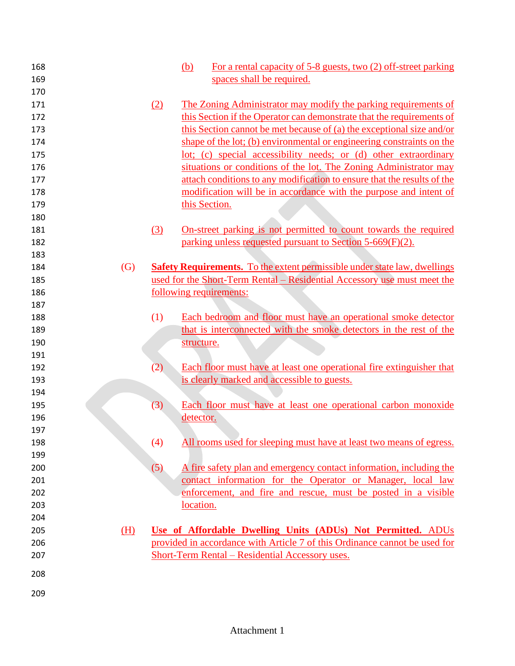| 168 |                   |     | For a rental capacity of 5-8 guests, two (2) off-street parking<br>(b)           |
|-----|-------------------|-----|----------------------------------------------------------------------------------|
| 169 |                   |     | spaces shall be required.                                                        |
| 170 |                   |     |                                                                                  |
| 171 |                   | (2) | The Zoning Administrator may modify the parking requirements of                  |
| 172 |                   |     | this Section if the Operator can demonstrate that the requirements of            |
| 173 |                   |     | this Section cannot be met because of (a) the exceptional size and/or            |
| 174 |                   |     | shape of the lot; (b) environmental or engineering constraints on the            |
| 175 |                   |     | lot; (c) special accessibility needs; or (d) other extraordinary                 |
| 176 |                   |     | situations or conditions of the lot. The Zoning Administrator may                |
| 177 |                   |     | attach conditions to any modification to ensure that the results of the          |
| 178 |                   |     | modification will be in accordance with the purpose and intent of                |
| 179 |                   |     | this Section.                                                                    |
| 180 |                   |     |                                                                                  |
| 181 |                   | (3) | <u>On-street parking is not permitted to count towards the required</u>          |
| 182 |                   |     | parking unless requested pursuant to Section 5-669(F)(2).                        |
| 183 |                   |     |                                                                                  |
| 184 | $\left( G\right)$ |     | <b>Safety Requirements.</b> To the extent permissible under state law, dwellings |
| 185 |                   |     | used for the Short-Term Rental – Residential Accessory use must meet the         |
| 186 |                   |     | following requirements:                                                          |
| 187 |                   |     |                                                                                  |
| 188 |                   | (1) | Each bedroom and floor must have an operational smoke detector                   |
| 189 |                   |     | that is interconnected with the smoke detectors in the rest of the               |
| 190 |                   |     | structure.                                                                       |
| 191 |                   |     |                                                                                  |
| 192 |                   | (2) | Each floor must have at least one operational fire extinguisher that             |
| 193 |                   |     | is clearly marked and accessible to guests.                                      |
| 194 |                   |     |                                                                                  |
| 195 |                   | (3) | Each floor must have at least one operational carbon monoxide                    |
| 196 |                   |     | detector.                                                                        |
| 197 |                   |     |                                                                                  |
| 198 |                   | (4) | All rooms used for sleeping must have at least two means of egress.              |
| 199 |                   |     |                                                                                  |
| 200 |                   | (5) | A fire safety plan and emergency contact information, including the              |
| 201 |                   |     | contact information for the Operator or Manager, local law                       |
| 202 |                   |     | enforcement, and fire and rescue, must be posted in a visible                    |
| 203 |                   |     | location.                                                                        |
| 204 |                   |     |                                                                                  |
| 205 | (H)               |     | Use of Affordable Dwelling Units (ADUs) Not Permitted. ADUs                      |
| 206 |                   |     | provided in accordance with Article 7 of this Ordinance cannot be used for       |
| 207 |                   |     | Short-Term Rental – Residential Accessory uses.                                  |
|     |                   |     |                                                                                  |
| 208 |                   |     |                                                                                  |
| 209 |                   |     |                                                                                  |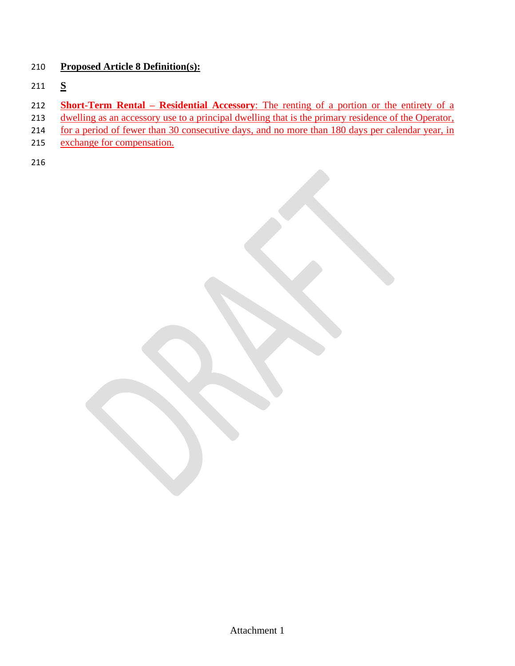## 210 **Proposed Article 8 Definition(s):**

- 211 **S**
- 212 **Short-Term Rental – Residential Accessory**: The renting of a portion or the entirety of a
- 213 dwelling as an accessory use to a principal dwelling that is the primary residence of the Operator,
- 214 for a period of fewer than 30 consecutive days, and no more than 180 days per calendar year, in
- 215 exchange for compensation.
- 216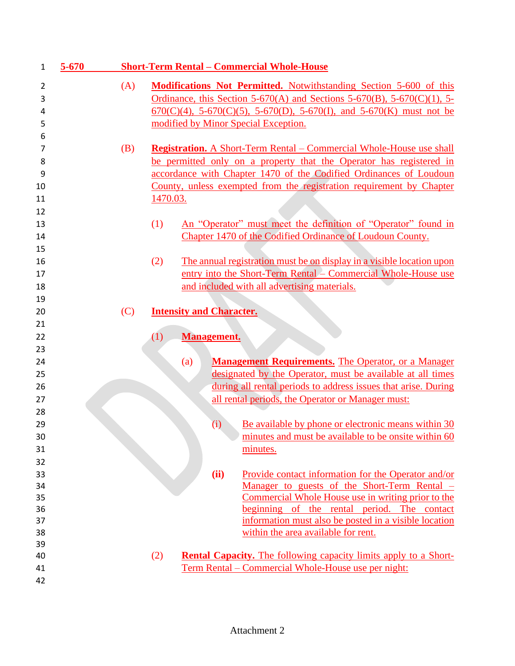| $\mathbf{1}$   | 5-670 |     |          |                                 |      | <b>Short-Term Rental - Commercial Whole-House</b>                                                                              |
|----------------|-------|-----|----------|---------------------------------|------|--------------------------------------------------------------------------------------------------------------------------------|
| $\overline{2}$ |       | (A) |          |                                 |      | <b>Modifications Not Permitted.</b> Notwithstanding Section 5-600 of this                                                      |
| 3              |       |     |          |                                 |      | Ordinance, this Section 5-670(A) and Sections 5-670(B), 5-670(C)(1), 5-                                                        |
| 4              |       |     |          |                                 |      | $670(C)(4)$ , 5-670(C)(5), 5-670(D), 5-670(I), and 5-670(K) must not be                                                        |
| 5              |       |     |          |                                 |      | modified by Minor Special Exception.                                                                                           |
| 6              |       |     |          |                                 |      |                                                                                                                                |
| 7              |       | (B) |          |                                 |      | <b>Registration.</b> A Short-Term Rental – Commercial Whole-House use shall                                                    |
| 8              |       |     |          |                                 |      | be permitted only on a property that the Operator has registered in                                                            |
| 9              |       |     |          |                                 |      | accordance with Chapter 1470 of the Codified Ordinances of Loudoun                                                             |
| 10             |       |     |          |                                 |      | County, unless exempted from the registration requirement by Chapter                                                           |
| 11             |       |     | 1470.03. |                                 |      |                                                                                                                                |
| 12             |       |     |          |                                 |      |                                                                                                                                |
| 13             |       |     | (1)      |                                 |      | An "Operator" must meet the definition of "Operator" found in                                                                  |
| 14             |       |     |          |                                 |      | Chapter 1470 of the Codified Ordinance of Loudoun County.                                                                      |
| 15             |       |     |          |                                 |      |                                                                                                                                |
| 16             |       |     | (2)      |                                 |      | The annual registration must be on display in a visible location upon                                                          |
| 17             |       |     |          |                                 |      | entry into the Short-Term Rental – Commercial Whole-House use                                                                  |
| 18             |       |     |          |                                 |      | and included with all advertising materials.                                                                                   |
| 19             |       |     |          |                                 |      |                                                                                                                                |
| 20             |       | (C) |          | <b>Intensity and Character.</b> |      |                                                                                                                                |
| 21             |       |     |          |                                 |      |                                                                                                                                |
| 22             |       |     | (1)      | <b>Management.</b>              |      |                                                                                                                                |
| 23             |       |     |          |                                 |      |                                                                                                                                |
| 24             |       |     |          | (a)                             |      | <b>Management Requirements.</b> The Operator, or a Manager                                                                     |
| 25             |       |     |          |                                 |      | designated by the Operator, must be available at all times                                                                     |
| 26             |       |     |          |                                 |      | during all rental periods to address issues that arise. During                                                                 |
| 27             |       |     |          |                                 |      | all rental periods, the Operator or Manager must:                                                                              |
| 28             |       |     |          |                                 |      |                                                                                                                                |
| 29             |       |     |          |                                 | (i)  | Be available by phone or electronic means within 30                                                                            |
| 30             |       |     |          |                                 |      | minutes and must be available to be onsite within 60                                                                           |
| 31             |       |     |          |                                 |      | minutes.                                                                                                                       |
| 32             |       |     |          |                                 |      |                                                                                                                                |
| 33             |       |     |          |                                 | (ii) | Provide contact information for the Operator and/or                                                                            |
| 34             |       |     |          |                                 |      | <u>Manager to guests of the Short-Term Rental –</u>                                                                            |
| 35             |       |     |          |                                 |      | Commercial Whole House use in writing prior to the                                                                             |
| 36             |       |     |          |                                 |      | beginning of the rental period. The contact                                                                                    |
| 37             |       |     |          |                                 |      | information must also be posted in a visible location                                                                          |
| 38             |       |     |          |                                 |      | within the area available for rent.                                                                                            |
| 39             |       |     |          |                                 |      |                                                                                                                                |
| 40<br>41       |       |     | (2)      |                                 |      | <b>Rental Capacity.</b> The following capacity limits apply to a Short-<br>Term Rental – Commercial Whole-House use per night: |
| 42             |       |     |          |                                 |      |                                                                                                                                |
|                |       |     |          |                                 |      |                                                                                                                                |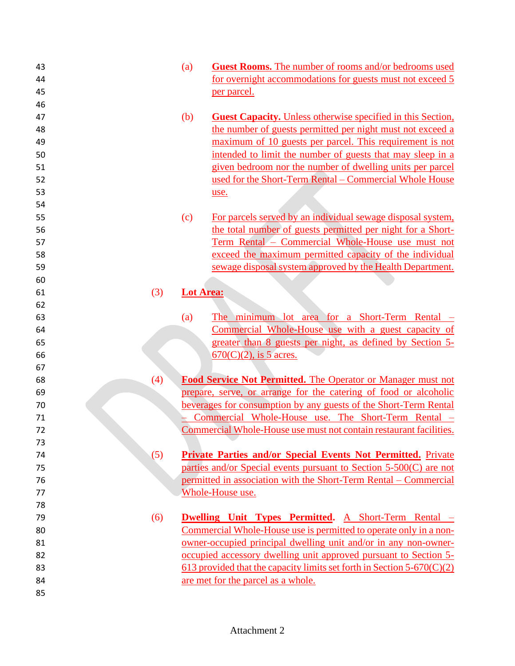| 43 |     | (a)              | <b>Guest Rooms.</b> The number of rooms and/or bedrooms used             |
|----|-----|------------------|--------------------------------------------------------------------------|
| 44 |     |                  | for overnight accommodations for guests must not exceed 5                |
| 45 |     |                  | <u>per parcel.</u>                                                       |
| 46 |     |                  |                                                                          |
| 47 |     | (b)              | <b>Guest Capacity.</b> Unless otherwise specified in this Section,       |
| 48 |     |                  | the number of guests permitted per night must not exceed a               |
| 49 |     |                  | maximum of 10 guests per parcel. This requirement is not                 |
| 50 |     |                  | intended to limit the number of guests that may sleep in a               |
| 51 |     |                  | given bedroom nor the number of dwelling units per parcel                |
| 52 |     |                  | used for the Short-Term Rental – Commercial Whole House                  |
| 53 |     |                  | use.                                                                     |
| 54 |     |                  |                                                                          |
| 55 |     | (c)              | For parcels served by an individual sewage disposal system,              |
| 56 |     |                  | the total number of guests permitted per night for a Short-              |
| 57 |     |                  | Term Rental - Commercial Whole-House use must not                        |
| 58 |     |                  | exceed the maximum permitted capacity of the individual                  |
| 59 |     |                  | sewage disposal system approved by the Health Department.                |
| 60 |     |                  |                                                                          |
| 61 | (3) | <b>Lot Area:</b> |                                                                          |
| 62 |     |                  |                                                                          |
| 63 |     | (a)              | The minimum lot area for a Short-Term Rental $-$                         |
| 64 |     |                  | Commercial Whole-House use with a guest capacity of                      |
| 65 |     |                  | greater than 8 guests per night, as defined by Section 5-                |
| 66 |     |                  | $670(C)(2)$ , is 5 acres.                                                |
| 67 |     |                  |                                                                          |
| 68 | (4) |                  | Food Service Not Permitted. The Operator or Manager must not             |
| 69 |     |                  | prepare, serve, or arrange for the catering of food or alcoholic         |
| 70 |     |                  | beverages for consumption by any guests of the Short-Term Rental         |
| 71 |     |                  | Commercial Whole-House use. The Short-Term Rental -                      |
| 72 |     |                  | Commercial Whole-House use must not contain restaurant facilities.       |
| 73 |     |                  |                                                                          |
| 74 | (5) |                  | <b>Private Parties and/or Special Events Not Permitted.</b> Private      |
| 75 |     |                  | parties and/or Special events pursuant to Section 5-500(C) are not       |
| 76 |     |                  | permitted in association with the Short-Term Rental – Commercial         |
| 77 |     |                  | Whole-House use.                                                         |
| 78 |     |                  |                                                                          |
| 79 | (6) |                  | <b>Dwelling Unit Types Permitted.</b> A Short-Term Rental –              |
| 80 |     |                  | Commercial Whole-House use is permitted to operate only in a non-        |
| 81 |     |                  | owner-occupied principal dwelling unit and/or in any non-owner-          |
| 82 |     |                  | occupied accessory dwelling unit approved pursuant to Section 5-         |
| 83 |     |                  | 613 provided that the capacity limits set forth in Section $5-670(C)(2)$ |
| 84 |     |                  | are met for the parcel as a whole.                                       |
| 85 |     |                  |                                                                          |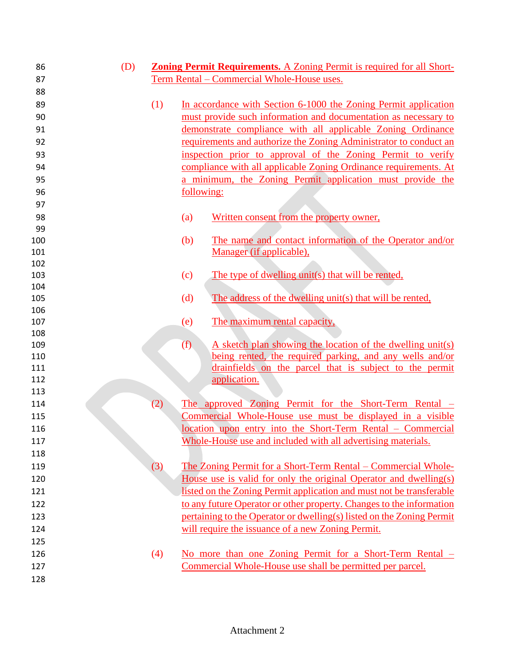| 86         | (D) |     | <b>Zoning Permit Requirements.</b> A Zoning Permit is required for all Short- |
|------------|-----|-----|-------------------------------------------------------------------------------|
| 87         |     |     | Term Rental - Commercial Whole-House uses.                                    |
| 88         |     |     |                                                                               |
| 89         |     | (1) | In accordance with Section 6-1000 the Zoning Permit application               |
| 90         |     |     | must provide such information and documentation as necessary to               |
| 91         |     |     | demonstrate compliance with all applicable Zoning Ordinance                   |
| 92         |     |     | requirements and authorize the Zoning Administrator to conduct an             |
| 93         |     |     | inspection prior to approval of the Zoning Permit to verify                   |
| 94         |     |     | compliance with all applicable Zoning Ordinance requirements. At              |
| 95         |     |     | a minimum, the Zoning Permit application must provide the                     |
| 96         |     |     | following:                                                                    |
| 97         |     |     |                                                                               |
| 98         |     |     | Written consent from the property owner,<br>(a)                               |
| 99         |     |     |                                                                               |
| 100        |     |     | (b)<br>The name and contact information of the Operator and/or                |
| 101        |     |     | Manager (if applicable),                                                      |
| 102        |     |     |                                                                               |
| 103        |     |     | The type of dwelling unit(s) that will be rented,<br>(c)                      |
| 104        |     |     |                                                                               |
| 105        |     |     | The address of the dwelling unit(s) that will be rented,<br>(d)               |
| 106<br>107 |     |     | The maximum rental capacity,<br>(e)                                           |
| 108        |     |     |                                                                               |
| 109        |     |     | A sketch plan showing the location of the dwelling unit(s)<br>(f)             |
| 110        |     |     | being rented, the required parking, and any wells and/or                      |
| 111        |     |     | drainfields on the parcel that is subject to the permit                       |
| 112        |     |     | application.                                                                  |
| 113        |     |     |                                                                               |
| 114        |     | (2) | The approved Zoning Permit for the Short-Term Rental –                        |
| 115        |     |     | Commercial Whole-House use must be displayed in a visible                     |
| 116        |     |     | location upon entry into the Short-Term Rental – Commercial                   |
| 117        |     |     | Whole-House use and included with all advertising materials.                  |
| 118        |     |     |                                                                               |
| 119        |     | (3) | The Zoning Permit for a Short-Term Rental – Commercial Whole-                 |
| 120        |     |     | House use is valid for only the original Operator and dwelling(s)             |
| 121        |     |     | listed on the Zoning Permit application and must not be transferable          |
| 122        |     |     | to any future Operator or other property. Changes to the information          |
| 123        |     |     | pertaining to the Operator or dwelling(s) listed on the Zoning Permit         |
| 124        |     |     | will require the issuance of a new Zoning Permit.                             |
| 125        |     |     |                                                                               |
| 126        |     | (4) | No more than one Zoning Permit for a Short-Term Rental $-$                    |
| 127        |     |     | Commercial Whole-House use shall be permitted per parcel.                     |
| 128        |     |     |                                                                               |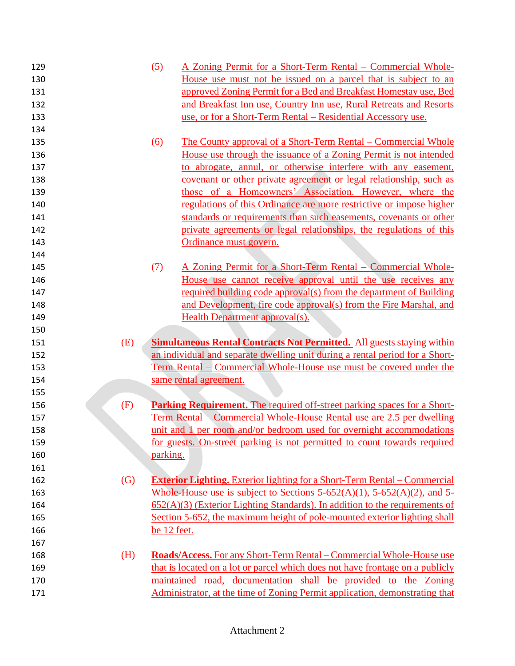| 129 |                   | (5)         | A Zoning Permit for a Short-Term Rental – Commercial Whole-                              |
|-----|-------------------|-------------|------------------------------------------------------------------------------------------|
| 130 |                   |             | House use must not be issued on a parcel that is subject to an                           |
| 131 |                   |             | approved Zoning Permit for a Bed and Breakfast Homestay use, Bed                         |
| 132 |                   |             | and Breakfast Inn use, Country Inn use, Rural Retreats and Resorts                       |
| 133 |                   |             | use, or for a Short-Term Rental – Residential Accessory use.                             |
| 134 |                   |             |                                                                                          |
| 135 |                   | (6)         | <u>The County approval of a Short-Term Rental – Commercial Whole</u>                     |
| 136 |                   |             | House use through the issuance of a Zoning Permit is not intended                        |
| 137 |                   |             | to abrogate, annul, or otherwise interfere with any easement,                            |
| 138 |                   |             | covenant or other private agreement or legal relationship, such as                       |
| 139 |                   |             | those of a Homeowners' Association. However, where the                                   |
| 140 |                   |             | regulations of this Ordinance are more restrictive or impose higher                      |
| 141 |                   |             | standards or requirements than such easements, covenants or other                        |
| 142 |                   |             | private agreements or legal relationships, the regulations of this                       |
| 143 |                   |             | Ordinance must govern.                                                                   |
| 144 |                   |             |                                                                                          |
| 145 |                   | (7)         | A Zoning Permit for a Short-Term Rental – Commercial Whole-                              |
| 146 |                   |             | House use cannot receive approval until the use receives any                             |
| 147 |                   |             | required building code approval(s) from the department of Building                       |
| 148 |                   |             | and Development, fire code approval(s) from the Fire Marshal, and                        |
| 149 |                   |             | <b>Health Department approval(s).</b>                                                    |
| 150 |                   |             |                                                                                          |
|     |                   |             |                                                                                          |
| 151 | (E)               |             | <b>Simultaneous Rental Contracts Not Permitted.</b> All guests staying within            |
| 152 |                   |             | an individual and separate dwelling unit during a rental period for a Short-             |
| 153 |                   |             | <u>Term Rental – Commercial Whole-House use must be covered under the</u>                |
| 154 |                   |             | same rental agreement.                                                                   |
| 155 |                   |             |                                                                                          |
| 156 | (F)               |             | <b>Parking Requirement.</b> The required off-street parking spaces for a Short-          |
| 157 |                   |             | <u>Term Rental – Commercial Whole-House Rental use are 2.5 per dwelling</u>              |
| 158 |                   |             | unit and 1 per room and/or bedroom used for overnight accommodations                     |
| 159 |                   |             | for guests. On-street parking is not permitted to count towards required                 |
| 160 |                   | parking.    |                                                                                          |
| 161 |                   |             |                                                                                          |
| 162 | $\left( G\right)$ |             | <b>Exterior Lighting.</b> Exterior lighting for a Short-Term Rental – Commercial         |
| 163 |                   |             | Whole-House use is subject to Sections $5-652(A)(1)$ , $5-652(A)(2)$ , and $5-652(A)(2)$ |
| 164 |                   |             | $652(A)(3)$ (Exterior Lighting Standards). In addition to the requirements of            |
| 165 |                   |             | Section 5-652, the maximum height of pole-mounted exterior lighting shall                |
| 166 |                   | be 12 feet. |                                                                                          |
| 167 |                   |             |                                                                                          |
| 168 | (H)               |             | <b>Roads/Access.</b> For any Short-Term Rental – Commercial Whole-House use              |
| 169 |                   |             | that is located on a lot or parcel which does not have frontage on a publicly            |
| 170 |                   |             | maintained road, documentation shall be provided to the Zoning                           |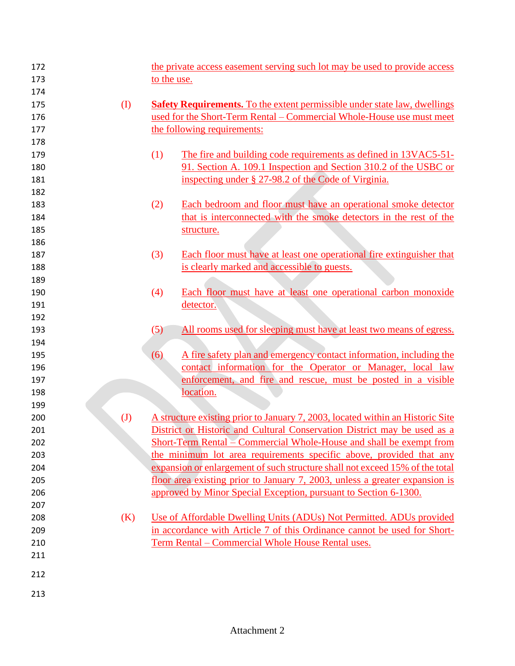| 172 |                            |             | the private access easement serving such lot may be used to provide access       |
|-----|----------------------------|-------------|----------------------------------------------------------------------------------|
| 173 |                            | to the use. |                                                                                  |
| 174 |                            |             |                                                                                  |
| 175 | $\rm (I)$                  |             | <b>Safety Requirements.</b> To the extent permissible under state law, dwellings |
| 176 |                            |             | used for the Short-Term Rental - Commercial Whole-House use must meet            |
| 177 |                            |             | the following requirements:                                                      |
| 178 |                            |             |                                                                                  |
| 179 |                            | (1)         | The fire and building code requirements as defined in 13VAC5-51-                 |
| 180 |                            |             | 91. Section A. 109.1 Inspection and Section 310.2 of the USBC or                 |
| 181 |                            |             | inspecting under § 27-98.2 of the Code of Virginia.                              |
| 182 |                            |             |                                                                                  |
| 183 |                            | (2)         | Each bedroom and floor must have an operational smoke detector                   |
| 184 |                            |             | that is interconnected with the smoke detectors in the rest of the               |
| 185 |                            |             | structure.                                                                       |
| 186 |                            |             |                                                                                  |
| 187 |                            | (3)         | Each floor must have at least one operational fire extinguisher that             |
| 188 |                            |             | is clearly marked and accessible to guests.                                      |
| 189 |                            |             |                                                                                  |
| 190 |                            | (4)         | Each floor must have at least one operational carbon monoxide                    |
| 191 |                            |             | detector.                                                                        |
| 192 |                            |             |                                                                                  |
| 193 |                            | (5)         | All rooms used for sleeping must have at least two means of egress.              |
| 194 |                            |             |                                                                                  |
| 195 |                            | (6)         | A fire safety plan and emergency contact information, including the              |
| 196 |                            |             | contact information for the Operator or Manager, local law                       |
| 197 |                            |             | enforcement, and fire and rescue, must be posted in a visible                    |
| 198 |                            |             | location.                                                                        |
| 199 |                            |             |                                                                                  |
| 200 | $\left( \mathrm{J}\right)$ |             | A structure existing prior to January 7, 2003, located within an Historic Site   |
| 201 |                            |             | District or Historic and Cultural Conservation District may be used as a         |
| 202 |                            |             | Short-Term Rental – Commercial Whole-House and shall be exempt from              |
| 203 |                            |             | the minimum lot area requirements specific above, provided that any              |
| 204 |                            |             | expansion or enlargement of such structure shall not exceed 15% of the total     |
| 205 |                            |             | floor area existing prior to January 7, 2003, unless a greater expansion is      |
| 206 |                            |             | approved by Minor Special Exception, pursuant to Section 6-1300.                 |
| 207 |                            |             |                                                                                  |
| 208 | (K)                        |             | Use of Affordable Dwelling Units (ADUs) Not Permitted. ADUs provided             |
| 209 |                            |             | in accordance with Article 7 of this Ordinance cannot be used for Short-         |
| 210 |                            |             | Term Rental – Commercial Whole House Rental uses.                                |
| 211 |                            |             |                                                                                  |
| 212 |                            |             |                                                                                  |
| 213 |                            |             |                                                                                  |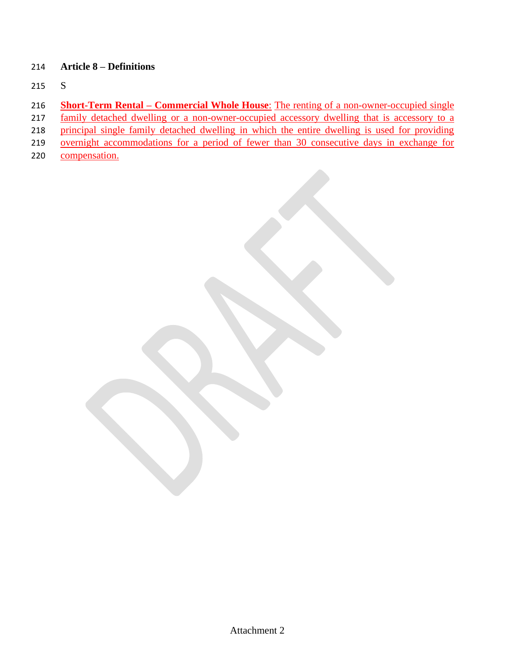### **Article 8 – Definitions**

- S
- **Short-Term Rental – Commercial Whole House**: The renting of a non-owner-occupied single
- 217 family detached dwelling or a non-owner-occupied accessory dwelling that is accessory to a
- principal single family detached dwelling in which the entire dwelling is used for providing
- overnight accommodations for a period of fewer than 30 consecutive days in exchange for
- 220 compensation.